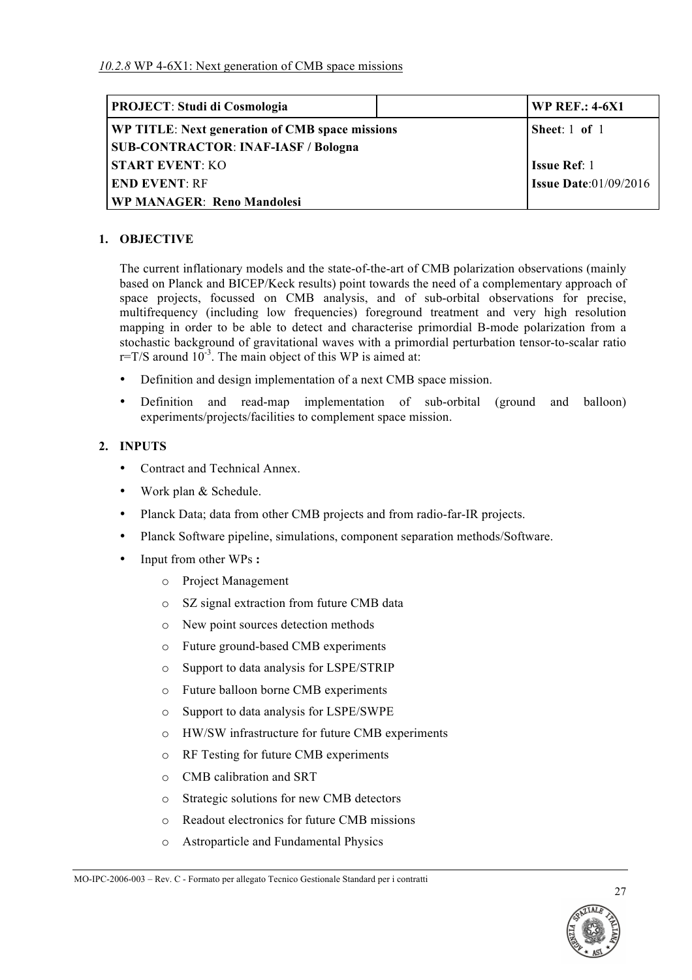| <b>PROJECT: Studi di Cosmologia</b>             | <b>WP REF.: 4-6X1</b>        |  |
|-------------------------------------------------|------------------------------|--|
| WP TITLE: Next generation of CMB space missions | Sheet: $1$ of $1$            |  |
| <b>SUB-CONTRACTOR: INAF-IASF / Bologna</b>      |                              |  |
| <b>START EVENT: KO</b>                          | <b>Issue Ref: 1</b>          |  |
| <b>END EVENT: RF</b>                            | <b>Issue Date:01/09/2016</b> |  |
| <b>WP MANAGER: Reno Mandolesi</b>               |                              |  |

### **1. OBJECTIVE**

The current inflationary models and the state-of-the-art of CMB polarization observations (mainly based on Planck and BICEP/Keck results) point towards the need of a complementary approach of space projects, focussed on CMB analysis, and of sub-orbital observations for precise, multifrequency (including low frequencies) foreground treatment and very high resolution mapping in order to be able to detect and characterise primordial B-mode polarization from a stochastic background of gravitational waves with a primordial perturbation tensor-to-scalar ratio  $r=T/S$  around  $10^{-3}$ . The main object of this WP is aimed at:

- Definition and design implementation of a next CMB space mission.
- Definition and read-map implementation of sub-orbital (ground and balloon) experiments/projects/facilities to complement space mission.

#### **2. INPUTS**

- Contract and Technical Annex.
- Work plan & Schedule.
- Planck Data; data from other CMB projects and from radio-far-IR projects.
- Planck Software pipeline, simulations, component separation methods/Software.
- Input from other WPs **:**
	- o Project Management
	- o SZ signal extraction from future CMB data
	- o New point sources detection methods
	- o Future ground-based CMB experiments
	- o Support to data analysis for LSPE/STRIP
	- o Future balloon borne CMB experiments
	- o Support to data analysis for LSPE/SWPE
	- o HW/SW infrastructure for future CMB experiments
	- o RF Testing for future CMB experiments
	- o CMB calibration and SRT
	- o Strategic solutions for new CMB detectors
	- o Readout electronics for future CMB missions
	- o Astroparticle and Fundamental Physics

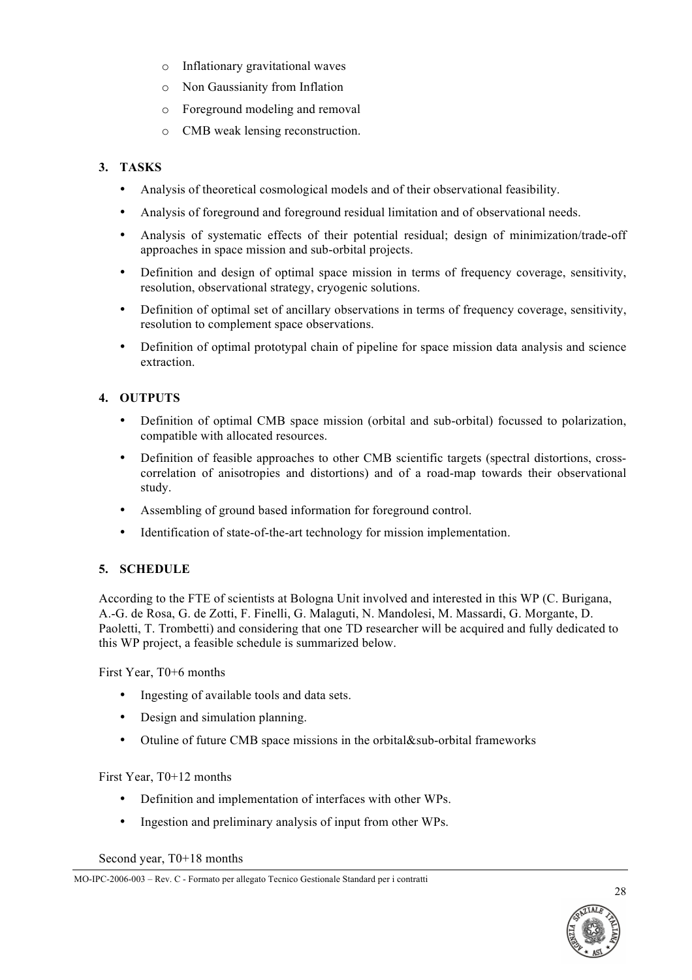- o Inflationary gravitational waves
- o Non Gaussianity from Inflation
- o Foreground modeling and removal
- o CMB weak lensing reconstruction.

# **3. TASKS**

- Analysis of theoretical cosmological models and of their observational feasibility.
- Analysis of foreground and foreground residual limitation and of observational needs.
- Analysis of systematic effects of their potential residual; design of minimization/trade-off approaches in space mission and sub-orbital projects.
- Definition and design of optimal space mission in terms of frequency coverage, sensitivity, resolution, observational strategy, cryogenic solutions.
- Definition of optimal set of ancillary observations in terms of frequency coverage, sensitivity, resolution to complement space observations.
- Definition of optimal prototypal chain of pipeline for space mission data analysis and science extraction.

### **4. OUTPUTS**

- Definition of optimal CMB space mission (orbital and sub-orbital) focussed to polarization, compatible with allocated resources.
- Definition of feasible approaches to other CMB scientific targets (spectral distortions, crosscorrelation of anisotropies and distortions) and of a road-map towards their observational study.
- Assembling of ground based information for foreground control.
- Identification of state-of-the-art technology for mission implementation.

# **5. SCHEDULE**

According to the FTE of scientists at Bologna Unit involved and interested in this WP (C. Burigana, A.-G. de Rosa, G. de Zotti, F. Finelli, G. Malaguti, N. Mandolesi, M. Massardi, G. Morgante, D. Paoletti, T. Trombetti) and considering that one TD researcher will be acquired and fully dedicated to this WP project, a feasible schedule is summarized below.

First Year, T0+6 months

- Ingesting of available tools and data sets.
- Design and simulation planning.
- Otuline of future CMB space missions in the orbital&sub-orbital frameworks

First Year, T0+12 months

- Definition and implementation of interfaces with other WPs.
- Ingestion and preliminary analysis of input from other WPs.

Second year, T0+18 months



MO-IPC-2006-003 – Rev. C - Formato per allegato Tecnico Gestionale Standard per i contratti